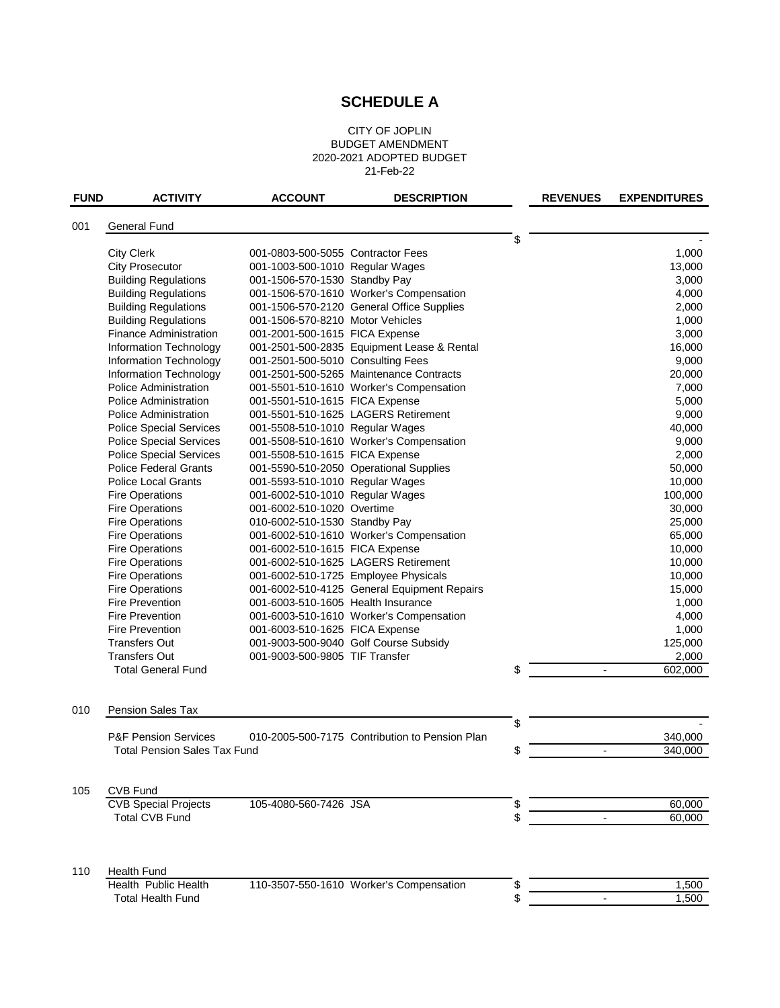## **SCHEDULE A**

## CITY OF JOPLIN BUDGET AMENDMENT 2020-2021 ADOPTED BUDGET 21-Feb-22

| <b>FUND</b> | <b>ACTIVITY</b>                     | <b>ACCOUNT</b>                     | <b>DESCRIPTION</b>                             | <b>REVENUES</b>                | <b>EXPENDITURES</b> |
|-------------|-------------------------------------|------------------------------------|------------------------------------------------|--------------------------------|---------------------|
|             |                                     |                                    |                                                |                                |                     |
| 001         | <b>General Fund</b>                 |                                    |                                                |                                |                     |
|             |                                     |                                    |                                                | \$                             |                     |
|             | <b>City Clerk</b>                   | 001-0803-500-5055 Contractor Fees  |                                                |                                | 1,000               |
|             | <b>City Prosecutor</b>              | 001-1003-500-1010 Regular Wages    |                                                |                                | 13,000              |
|             | <b>Building Regulations</b>         | 001-1506-570-1530 Standby Pay      |                                                |                                | 3,000               |
|             | <b>Building Regulations</b>         |                                    | 001-1506-570-1610 Worker's Compensation        |                                | 4,000               |
|             | <b>Building Regulations</b>         |                                    | 001-1506-570-2120 General Office Supplies      |                                | 2,000               |
|             | <b>Building Regulations</b>         | 001-1506-570-8210 Motor Vehicles   |                                                |                                | 1,000               |
|             | <b>Finance Administration</b>       | 001-2001-500-1615 FICA Expense     |                                                |                                | 3,000               |
|             | Information Technology              |                                    | 001-2501-500-2835 Equipment Lease & Rental     |                                | 16,000              |
|             | Information Technology              | 001-2501-500-5010 Consulting Fees  |                                                |                                | 9,000               |
|             | Information Technology              |                                    | 001-2501-500-5265 Maintenance Contracts        |                                | 20,000              |
|             | <b>Police Administration</b>        |                                    | 001-5501-510-1610 Worker's Compensation        |                                | 7,000               |
|             | <b>Police Administration</b>        | 001-5501-510-1615 FICA Expense     |                                                |                                | 5,000               |
|             | <b>Police Administration</b>        |                                    | 001-5501-510-1625 LAGERS Retirement            |                                | 9,000               |
|             | <b>Police Special Services</b>      | 001-5508-510-1010 Regular Wages    |                                                |                                | 40,000              |
|             | <b>Police Special Services</b>      |                                    | 001-5508-510-1610 Worker's Compensation        |                                | 9,000               |
|             | <b>Police Special Services</b>      | 001-5508-510-1615 FICA Expense     |                                                |                                | 2,000               |
|             | <b>Police Federal Grants</b>        |                                    | 001-5590-510-2050 Operational Supplies         |                                | 50,000              |
|             | <b>Police Local Grants</b>          | 001-5593-510-1010 Regular Wages    |                                                |                                | 10,000              |
|             | <b>Fire Operations</b>              | 001-6002-510-1010 Regular Wages    |                                                |                                | 100,000             |
|             | <b>Fire Operations</b>              | 001-6002-510-1020 Overtime         |                                                |                                | 30,000              |
|             | <b>Fire Operations</b>              | 010-6002-510-1530 Standby Pay      |                                                |                                | 25,000              |
|             | <b>Fire Operations</b>              |                                    | 001-6002-510-1610 Worker's Compensation        |                                | 65,000              |
|             | <b>Fire Operations</b>              | 001-6002-510-1615 FICA Expense     |                                                |                                | 10,000              |
|             | <b>Fire Operations</b>              |                                    | 001-6002-510-1625 LAGERS Retirement            |                                | 10,000              |
|             | <b>Fire Operations</b>              |                                    | 001-6002-510-1725 Employee Physicals           |                                | 10,000              |
|             | <b>Fire Operations</b>              |                                    | 001-6002-510-4125 General Equipment Repairs    |                                | 15,000              |
|             | <b>Fire Prevention</b>              | 001-6003-510-1605 Health Insurance |                                                |                                | 1,000               |
|             | <b>Fire Prevention</b>              |                                    | 001-6003-510-1610 Worker's Compensation        |                                | 4,000               |
|             | <b>Fire Prevention</b>              | 001-6003-510-1625 FICA Expense     |                                                |                                | 1,000               |
|             | <b>Transfers Out</b>                |                                    | 001-9003-500-9040 Golf Course Subsidy          |                                | 125,000             |
|             | <b>Transfers Out</b>                | 001-9003-500-9805 TIF Transfer     |                                                |                                | 2,000               |
|             | <b>Total General Fund</b>           |                                    |                                                | \$<br>$\overline{\phantom{a}}$ | 602,000             |
|             |                                     |                                    |                                                |                                |                     |
| 010         |                                     |                                    |                                                |                                |                     |
|             | Pension Sales Tax                   |                                    |                                                | \$                             |                     |
|             | <b>P&amp;F Pension Services</b>     |                                    | 010-2005-500-7175 Contribution to Pension Plan |                                | 340,000             |
|             | <b>Total Pension Sales Tax Fund</b> |                                    |                                                | \$<br>$\overline{\phantom{a}}$ | 340,000             |
|             |                                     |                                    |                                                |                                |                     |
| 105         | <b>CVB Fund</b>                     |                                    |                                                |                                |                     |
|             | <b>CVB Special Projects</b>         | 105-4080-560-7426 JSA              |                                                | \$                             | 60,000              |
|             | <b>Total CVB Fund</b>               |                                    |                                                | \$                             | 60,000              |
|             |                                     |                                    |                                                |                                |                     |
| 110         | <b>Health Fund</b>                  |                                    |                                                |                                |                     |
|             | Health Public Health                |                                    | 110-3507-550-1610 Worker's Compensation        | \$                             | 1,500               |
|             | <b>Total Health Fund</b>            |                                    |                                                | \$                             | 1,500               |
|             |                                     |                                    |                                                |                                |                     |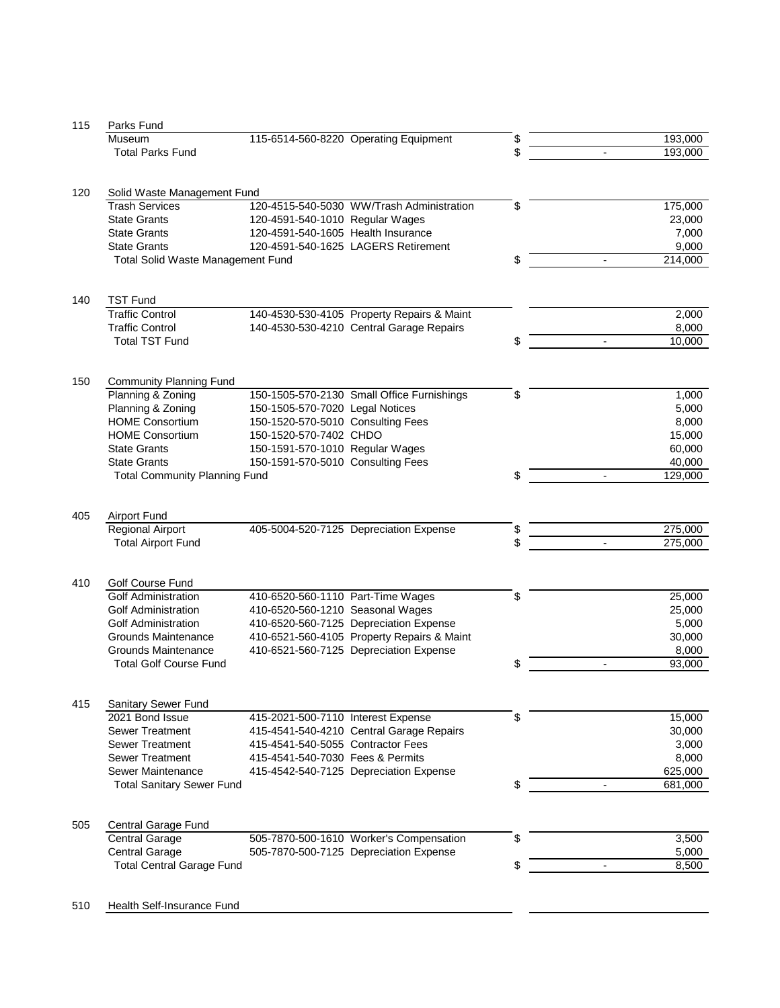| 115 | Parks Fund                               |                                    |                                            |    |                                     |
|-----|------------------------------------------|------------------------------------|--------------------------------------------|----|-------------------------------------|
|     | Museum                                   |                                    | 115-6514-560-8220 Operating Equipment      | \$ | 193,000                             |
|     | <b>Total Parks Fund</b>                  |                                    |                                            | \$ | 193,000                             |
|     |                                          |                                    |                                            |    |                                     |
|     |                                          |                                    |                                            |    |                                     |
| 120 | Solid Waste Management Fund              |                                    |                                            |    |                                     |
|     | <b>Trash Services</b>                    |                                    | 120-4515-540-5030 WW/Trash Administration  | \$ | 175,000                             |
|     |                                          |                                    |                                            |    |                                     |
|     | <b>State Grants</b>                      | 120-4591-540-1010 Regular Wages    |                                            |    | 23,000                              |
|     | <b>State Grants</b>                      | 120-4591-540-1605 Health Insurance |                                            |    | 7,000                               |
|     | <b>State Grants</b>                      |                                    | 120-4591-540-1625 LAGERS Retirement        |    | 9,000                               |
|     | <b>Total Solid Waste Management Fund</b> |                                    |                                            | \$ | 214,000                             |
|     |                                          |                                    |                                            |    |                                     |
|     |                                          |                                    |                                            |    |                                     |
| 140 | <b>TST Fund</b>                          |                                    |                                            |    |                                     |
|     | <b>Traffic Control</b>                   |                                    | 140-4530-530-4105 Property Repairs & Maint |    | 2,000                               |
|     | <b>Traffic Control</b>                   |                                    | 140-4530-530-4210 Central Garage Repairs   |    | 8,000                               |
|     | <b>Total TST Fund</b>                    |                                    |                                            | \$ | 10,000                              |
|     |                                          |                                    |                                            |    |                                     |
|     |                                          |                                    |                                            |    |                                     |
| 150 | <b>Community Planning Fund</b>           |                                    |                                            |    |                                     |
|     | Planning & Zoning                        |                                    | 150-1505-570-2130 Small Office Furnishings | \$ | 1,000                               |
|     | Planning & Zoning                        | 150-1505-570-7020 Legal Notices    |                                            |    | 5,000                               |
|     | <b>HOME Consortium</b>                   | 150-1520-570-5010 Consulting Fees  |                                            |    | 8,000                               |
|     | <b>HOME Consortium</b>                   | 150-1520-570-7402 CHDO             |                                            |    | 15,000                              |
|     | <b>State Grants</b>                      |                                    |                                            |    |                                     |
|     |                                          | 150-1591-570-1010 Regular Wages    |                                            |    | 60,000                              |
|     | <b>State Grants</b>                      | 150-1591-570-5010 Consulting Fees  |                                            |    | 40,000                              |
|     | <b>Total Community Planning Fund</b>     |                                    |                                            | \$ | 129,000<br>$\overline{\phantom{a}}$ |
|     |                                          |                                    |                                            |    |                                     |
|     |                                          |                                    |                                            |    |                                     |
| 405 | <b>Airport Fund</b>                      |                                    |                                            |    |                                     |
|     | <b>Regional Airport</b>                  |                                    | 405-5004-520-7125 Depreciation Expense     | \$ | 275,000                             |
|     | <b>Total Airport Fund</b>                |                                    |                                            | \$ | 275,000                             |
|     |                                          |                                    |                                            |    |                                     |
|     |                                          |                                    |                                            |    |                                     |
| 410 | Golf Course Fund                         |                                    |                                            |    |                                     |
|     | <b>Golf Administration</b>               | 410-6520-560-1110 Part-Time Wages  |                                            | \$ | 25,000                              |
|     | <b>Golf Administration</b>               | 410-6520-560-1210 Seasonal Wages   |                                            |    | 25,000                              |
|     | <b>Golf Administration</b>               |                                    | 410-6520-560-7125 Depreciation Expense     |    | 5,000                               |
|     | Grounds Maintenance                      |                                    | 410-6521-560-4105 Property Repairs & Maint |    | 30,000                              |
|     |                                          |                                    |                                            |    |                                     |
|     | Grounds Maintenance                      |                                    | 410-6521-560-7125 Depreciation Expense     |    | 8,000                               |
|     | <b>Total Golf Course Fund</b>            |                                    |                                            | \$ | 93,000                              |
|     |                                          |                                    |                                            |    |                                     |
|     |                                          |                                    |                                            |    |                                     |
| 415 | Sanitary Sewer Fund                      |                                    |                                            |    |                                     |
|     | 2021 Bond Issue                          | 415-2021-500-7110 Interest Expense |                                            | \$ | 15,000                              |
|     | <b>Sewer Treatment</b>                   |                                    | 415-4541-540-4210 Central Garage Repairs   |    | 30,000                              |
|     | <b>Sewer Treatment</b>                   | 415-4541-540-5055 Contractor Fees  |                                            |    | 3,000                               |
|     | <b>Sewer Treatment</b>                   | 415-4541-540-7030 Fees & Permits   |                                            |    | 8,000                               |
|     | Sewer Maintenance                        |                                    | 415-4542-540-7125 Depreciation Expense     |    | 625,000                             |
|     | <b>Total Sanitary Sewer Fund</b>         |                                    |                                            | \$ | 681,000                             |
|     |                                          |                                    |                                            |    |                                     |
|     |                                          |                                    |                                            |    |                                     |
| 505 | Central Garage Fund                      |                                    |                                            |    |                                     |
|     | <b>Central Garage</b>                    |                                    | 505-7870-500-1610 Worker's Compensation    | \$ | 3,500                               |
|     |                                          |                                    |                                            |    |                                     |
|     | <b>Central Garage</b>                    |                                    | 505-7870-500-7125 Depreciation Expense     |    | 5,000                               |
|     | <b>Total Central Garage Fund</b>         |                                    |                                            | \$ | 8,500<br>$\overline{\phantom{a}}$   |
|     |                                          |                                    |                                            |    |                                     |
|     |                                          |                                    |                                            |    |                                     |
| 510 | Health Self-Insurance Fund               |                                    |                                            |    |                                     |